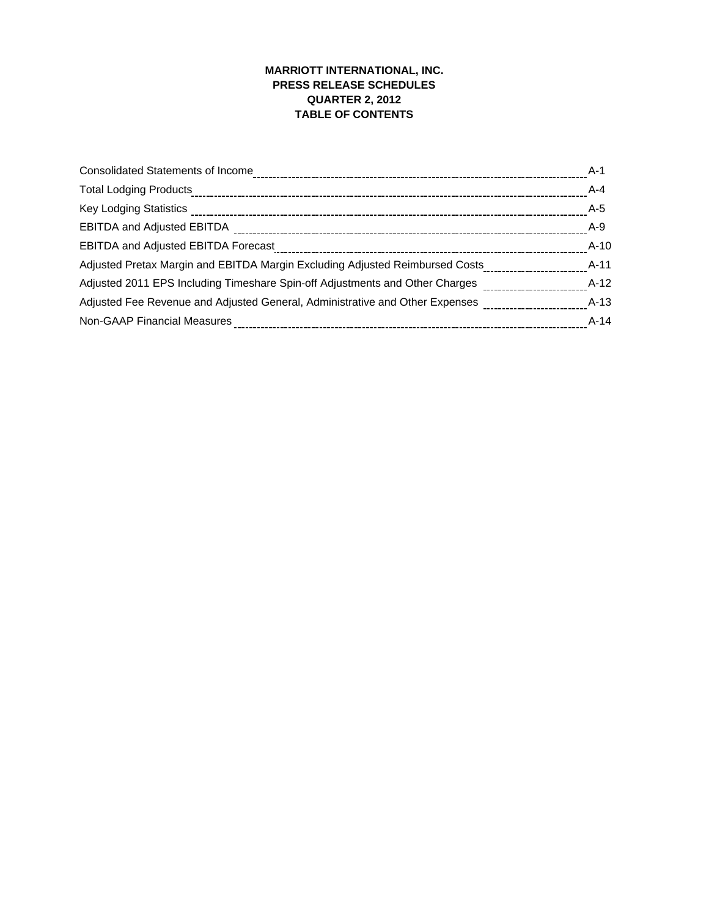## **MARRIOTT INTERNATIONAL, INC. PRESS RELEASE SCHEDULES QUARTER 2, 2012 TABLE OF CONTENTS**

| <b>Consolidated Statements of Income</b>                                                           | $A-1$   |
|----------------------------------------------------------------------------------------------------|---------|
| <b>Total Lodging Products</b>                                                                      | $A - 4$ |
|                                                                                                    | A-5     |
|                                                                                                    | $A-9$   |
| <b>EBITDA and Adjusted EBITDA Forecast</b>                                                         | $A-10$  |
| Adjusted Pretax Margin and EBITDA Margin Excluding Adjusted Reimbursed Costs                       | $A-11$  |
| Adjusted 2011 EPS Including Timeshare Spin-off Adjustments and Other Charges                       | $A-12$  |
| Adjusted Fee Revenue and Adjusted General, Administrative and Other Expenses _____________________ | $A-13$  |
| Non-GAAP Financial Measures                                                                        | $A-14$  |
|                                                                                                    |         |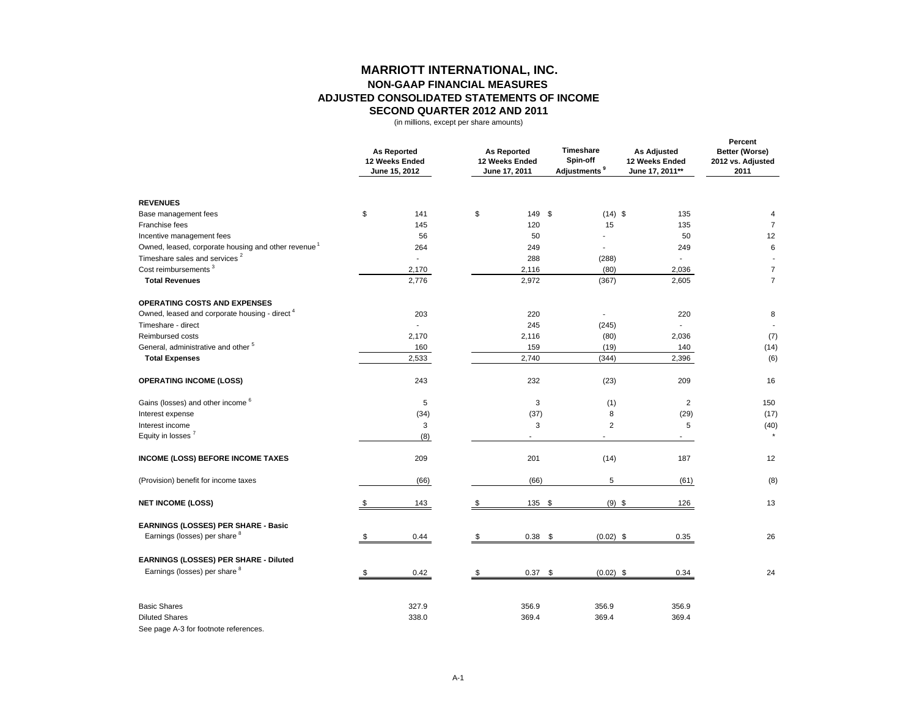## **MARRIOTT INTERNATIONAL, INC. NON-GAAP FINANCIAL MEASURES ADJUSTED CONSOLIDATED STATEMENTS OF INCOME SECOND QUARTER 2012 AND 2011**

(in millions, except per share amounts)

|                                                                                       |    | <b>As Reported</b><br>12 Weeks Ended<br>June 15, 2012 | <b>As Reported</b><br>12 Weeks Ended<br>June 17, 2011 |                | Timeshare<br>Spin-off<br>Adjustments <sup>9</sup> | <b>As Adjusted</b><br>12 Weeks Ended<br>June 17, 2011** | Percent<br>Better (Worse)<br>2012 vs. Adjusted<br>2011 |
|---------------------------------------------------------------------------------------|----|-------------------------------------------------------|-------------------------------------------------------|----------------|---------------------------------------------------|---------------------------------------------------------|--------------------------------------------------------|
| <b>REVENUES</b>                                                                       |    |                                                       |                                                       |                |                                                   |                                                         |                                                        |
| Base management fees                                                                  | \$ | 141                                                   | \$                                                    | 149 \$         | $(14)$ \$                                         | 135                                                     | 4                                                      |
| Franchise fees                                                                        |    | 145                                                   |                                                       | 120            | 15                                                | 135                                                     | $\overline{7}$                                         |
| Incentive management fees                                                             |    | 56                                                    |                                                       | 50             |                                                   | 50                                                      | 12                                                     |
| Owned, leased, corporate housing and other revenue <sup>1</sup>                       |    | 264                                                   |                                                       | 249            | L.                                                | 249                                                     | 6                                                      |
| Timeshare sales and services <sup>2</sup>                                             |    | $\overline{\phantom{a}}$                              |                                                       | 288            | (288)                                             | $\mathbf{r}$                                            |                                                        |
| Cost reimbursements <sup>3</sup>                                                      |    | 2,170                                                 |                                                       | 2,116          | (80)                                              | 2,036                                                   | $\overline{7}$<br>$\overline{7}$                       |
| <b>Total Revenues</b>                                                                 |    | 2,776                                                 |                                                       | 2,972          | (367)                                             | 2,605                                                   |                                                        |
| <b>OPERATING COSTS AND EXPENSES</b>                                                   |    |                                                       |                                                       |                |                                                   |                                                         |                                                        |
| Owned, leased and corporate housing - direct <sup>4</sup>                             |    | 203                                                   |                                                       | 220            | $\blacksquare$                                    | 220                                                     | 8                                                      |
| Timeshare - direct                                                                    |    | $\overline{a}$                                        |                                                       | 245            | (245)                                             | $\mathbf{r}$                                            |                                                        |
| Reimbursed costs                                                                      |    | 2,170                                                 |                                                       | 2,116          | (80)                                              | 2,036                                                   | (7)                                                    |
| General, administrative and other <sup>5</sup>                                        |    | 160                                                   |                                                       | 159            | (19)                                              | 140                                                     | (14)                                                   |
| <b>Total Expenses</b>                                                                 |    | 2,533                                                 |                                                       | 2,740          | (344)                                             | 2,396                                                   | (6)                                                    |
| <b>OPERATING INCOME (LOSS)</b>                                                        |    | 243                                                   |                                                       | 232            | (23)                                              | 209                                                     | 16                                                     |
| Gains (losses) and other income <sup>6</sup>                                          |    | 5                                                     |                                                       | 3              | (1)                                               | $\overline{2}$                                          | 150                                                    |
| Interest expense                                                                      |    | (34)                                                  |                                                       | (37)           | 8                                                 | (29)                                                    | (17)                                                   |
| Interest income                                                                       |    | 3                                                     |                                                       | 3              | $\overline{2}$                                    | 5                                                       | (40)                                                   |
| Equity in losses <sup>7</sup>                                                         |    | (8)                                                   |                                                       | L.             |                                                   |                                                         |                                                        |
| <b>INCOME (LOSS) BEFORE INCOME TAXES</b>                                              |    | 209                                                   |                                                       | 201            | (14)                                              | 187                                                     | 12                                                     |
| (Provision) benefit for income taxes                                                  |    | (66)                                                  |                                                       | (66)           | 5                                                 | (61)                                                    | (8)                                                    |
| <b>NET INCOME (LOSS)</b>                                                              | \$ | 143                                                   | \$                                                    | 135 \$         | $(9)$ \$                                          | 126                                                     | 13                                                     |
| <b>EARNINGS (LOSSES) PER SHARE - Basic</b>                                            |    |                                                       |                                                       |                |                                                   |                                                         |                                                        |
| Earnings (losses) per share <sup>8</sup>                                              | \$ | 0.44                                                  | \$                                                    | $0.38$ \$      | $(0.02)$ \$                                       | 0.35                                                    | 26                                                     |
| EARNINGS (LOSSES) PER SHARE - Diluted                                                 |    |                                                       |                                                       |                |                                                   |                                                         |                                                        |
| Earnings (losses) per share 8                                                         | S  | 0.42                                                  | \$                                                    | $0.37$ \$      | $(0.02)$ \$                                       | 0.34                                                    | 24                                                     |
| <b>Basic Shares</b><br><b>Diluted Shares</b><br>See page A-3 for footnote references. |    | 327.9<br>338.0                                        |                                                       | 356.9<br>369.4 | 356.9<br>369.4                                    | 356.9<br>369.4                                          |                                                        |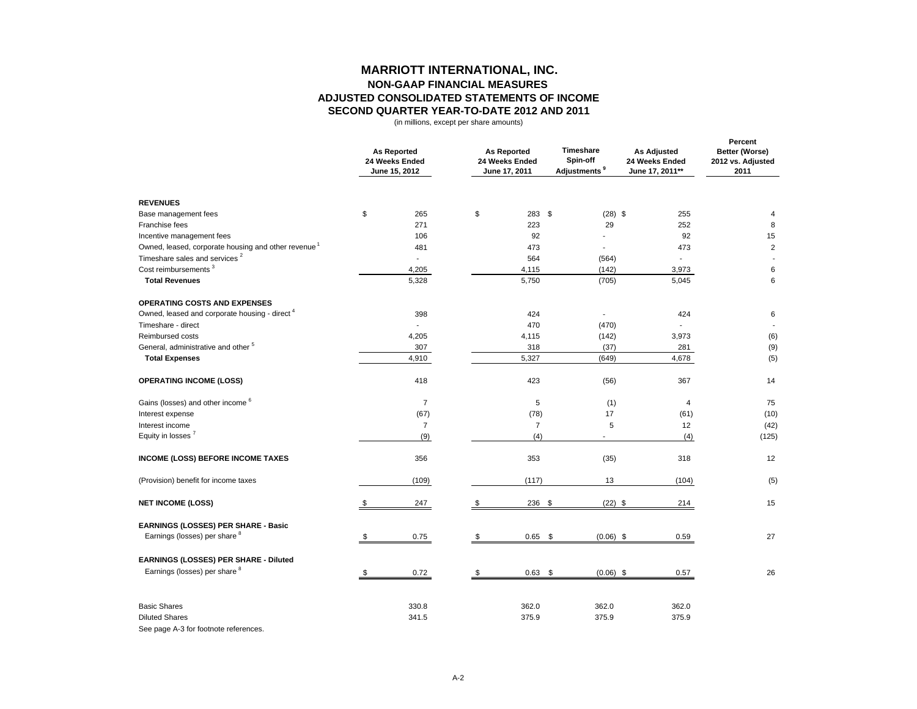## **MARRIOTT INTERNATIONAL, INC. NON-GAAP FINANCIAL MEASURES ADJUSTED CONSOLIDATED STATEMENTS OF INCOME SECOND QUARTER YEAR-TO-DATE 2012 AND 2011**

(in millions, except per share amounts)

|                                                                 |     | <b>As Reported</b><br>24 Weeks Ended<br>June 15, 2012 |    | <b>As Reported</b><br>24 Weeks Ended<br>June 17, 2011 |                          | <b>As Adjusted</b><br>24 Weeks Ended<br>June 17, 2011** | Percent<br>Better (Worse)<br>2012 vs. Adjusted<br>2011 |
|-----------------------------------------------------------------|-----|-------------------------------------------------------|----|-------------------------------------------------------|--------------------------|---------------------------------------------------------|--------------------------------------------------------|
| <b>REVENUES</b>                                                 |     |                                                       |    |                                                       |                          |                                                         |                                                        |
| Base management fees                                            | \$  | 265                                                   | \$ | 283 \$                                                | $(28)$ \$                | 255                                                     | 4                                                      |
| Franchise fees                                                  |     | 271                                                   |    | 223                                                   | 29                       | 252                                                     | 8                                                      |
| Incentive management fees                                       |     | 106                                                   |    | 92                                                    |                          | 92                                                      | 15                                                     |
| Owned, leased, corporate housing and other revenue <sup>1</sup> |     | 481                                                   |    | 473                                                   | $\blacksquare$           | 473                                                     | $\overline{2}$                                         |
| Timeshare sales and services <sup>2</sup>                       |     | $\overline{a}$                                        |    | 564                                                   | (564)                    | $\overline{a}$                                          |                                                        |
| Cost reimbursements <sup>3</sup>                                |     | 4,205                                                 |    | 4,115                                                 | (142)                    | 3,973                                                   | 6                                                      |
| <b>Total Revenues</b>                                           |     | 5,328                                                 |    | 5,750                                                 | (705)                    | 5,045                                                   | 6                                                      |
| <b>OPERATING COSTS AND EXPENSES</b>                             |     |                                                       |    |                                                       |                          |                                                         |                                                        |
| Owned, leased and corporate housing - direct <sup>4</sup>       |     | 398                                                   |    | 424                                                   | $\overline{\phantom{a}}$ | 424                                                     | 6                                                      |
| Timeshare - direct                                              |     | $\overline{a}$                                        |    | 470                                                   | (470)                    | $\overline{\phantom{a}}$                                |                                                        |
| Reimbursed costs                                                |     | 4,205                                                 |    | 4,115                                                 | (142)                    | 3,973                                                   | (6)                                                    |
| General, administrative and other <sup>5</sup>                  |     | 307                                                   |    | 318                                                   | (37)                     | 281                                                     | (9)                                                    |
| <b>Total Expenses</b>                                           |     | 4,910                                                 |    | 5,327                                                 | (649)                    | 4,678                                                   | (5)                                                    |
| <b>OPERATING INCOME (LOSS)</b>                                  |     | 418                                                   |    | 423                                                   | (56)                     | 367                                                     | 14                                                     |
| Gains (losses) and other income <sup>6</sup>                    |     | $\overline{7}$                                        |    | 5                                                     | (1)                      | 4                                                       | 75                                                     |
| Interest expense                                                |     | (67)                                                  |    | (78)                                                  | 17                       | (61)                                                    | (10)                                                   |
| Interest income                                                 |     | $\overline{7}$                                        |    | $\overline{7}$                                        | 5                        | 12                                                      | (42)                                                   |
| Equity in losses <sup>7</sup>                                   |     | (9)                                                   |    | (4)                                                   |                          | (4)                                                     | (125)                                                  |
| <b>INCOME (LOSS) BEFORE INCOME TAXES</b>                        |     | 356                                                   |    | 353                                                   | (35)                     | 318                                                     | 12                                                     |
| (Provision) benefit for income taxes                            |     | (109)                                                 |    | (117)                                                 | 13                       | (104)                                                   | (5)                                                    |
| <b>NET INCOME (LOSS)</b>                                        | \$. | 247                                                   | \$ | 236 \$                                                | $(22)$ \$                | 214                                                     | 15                                                     |
| <b>EARNINGS (LOSSES) PER SHARE - Basic</b>                      |     |                                                       |    |                                                       |                          |                                                         |                                                        |
| Earnings (losses) per share 8                                   |     | 0.75                                                  | \$ | $0.65$ \$                                             | $(0.06)$ \$              | 0.59                                                    | 27                                                     |
| EARNINGS (LOSSES) PER SHARE - Diluted                           |     |                                                       |    |                                                       |                          |                                                         |                                                        |
| Earnings (losses) per share <sup>8</sup>                        |     | 0.72                                                  | \$ | $0.63$ \$                                             | $(0.06)$ \$              | 0.57                                                    | 26                                                     |
|                                                                 |     |                                                       |    |                                                       |                          |                                                         |                                                        |
| <b>Basic Shares</b>                                             |     | 330.8                                                 |    | 362.0                                                 | 362.0                    | 362.0                                                   |                                                        |
| <b>Diluted Shares</b>                                           |     | 341.5                                                 |    | 375.9                                                 | 375.9                    | 375.9                                                   |                                                        |
|                                                                 |     |                                                       |    |                                                       |                          |                                                         |                                                        |

See page A-3 for footnote references.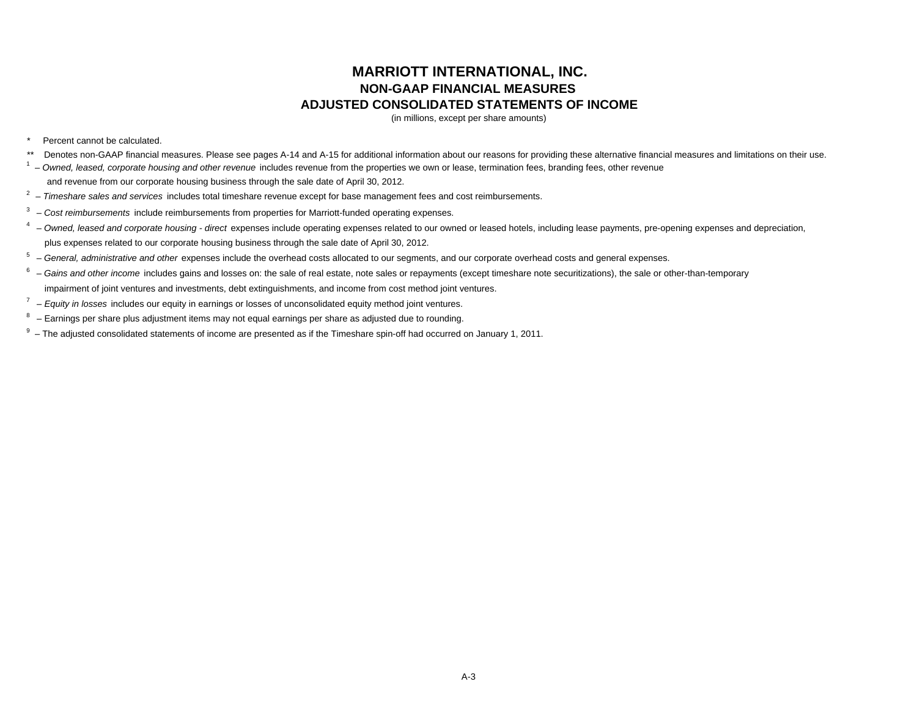# **MARRIOTT INTERNATIONAL, INC. NON-GAAP FINANCIAL MEASURES ADJUSTED CONSOLIDATED STATEMENTS OF INCOME**

(in millions, except per share amounts)

#### Percent cannot be calculated.

- \*\* Denotes non-GAAP financial measures. Please see pages A-14 and A-15 for additional information about our reasons for providing these alternative financial measures and limitations on their use.
- <sup>1</sup> Owned, leased, corporate housing and other revenue includes revenue from the properties we own or lease, termination fees, branding fees, other revenue

and revenue from our corporate housing business through the sale date of April 30, 2012.

- 2 – *Timeshare sales and services* includes total timeshare revenue except for base management fees and cost reimbursements.
- 3 *Cost reimbursements* include reimbursements from properties for Marriott-funded operating expenses.
- <sup>4</sup> Owned, leased and corporate housing direct expenses include operating expenses related to our owned or leased hotels, including lease payments, pre-opening expenses and depreciation, plus expenses related to our corporate housing business through the sale date of April 30, 2012.
- <sup>5</sup> General, administrative and other expenses include the overhead costs allocated to our segments, and our corporate overhead costs and general expenses.
- $^6$   $-$  Gains and other income includes gains and losses on: the sale of real estate, note sales or repayments (except timeshare note securitizations), the sale or other-than-temporary impairment of joint ventures and investments, debt extinguishments, and income from cost method joint ventures.
- 7 *Equity in losses* includes our equity in earnings or losses of unconsolidated equity method joint ventures.
- $8 -$  Earnings per share plus adjustment items may not equal earnings per share as adjusted due to rounding.
- $9 -$  The adjusted consolidated statements of income are presented as if the Timeshare spin-off had occurred on January 1, 2011.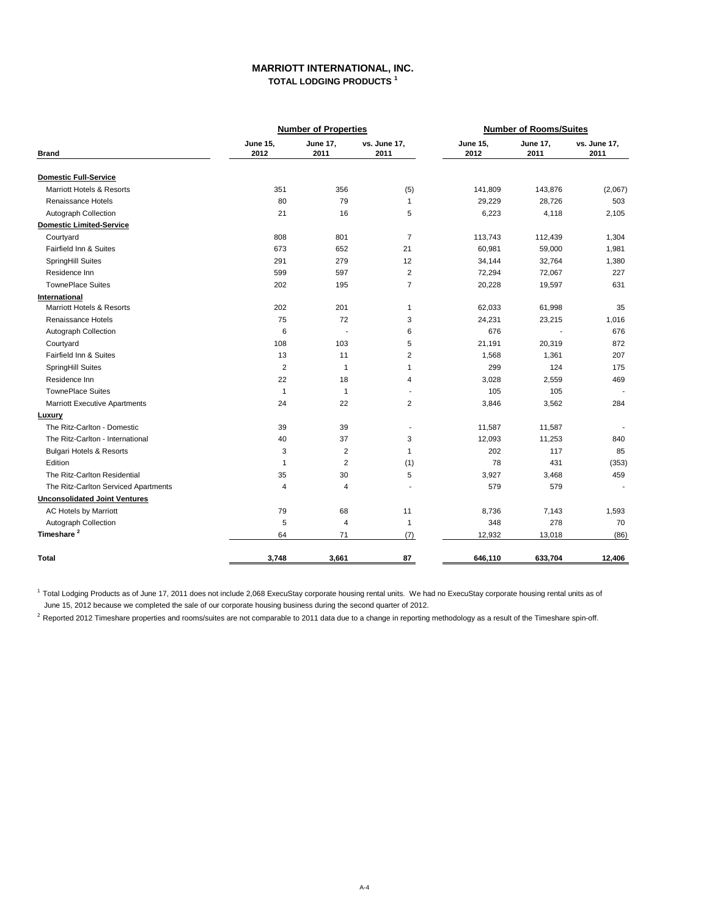## **MARRIOTT INTERNATIONAL, INC. TOTAL LODGING PRODUCTS <sup>1</sup>**

|                                      |                         | <b>Number of Properties</b> |                      | <b>Number of Rooms/Suites</b> |                         |                      |  |
|--------------------------------------|-------------------------|-----------------------------|----------------------|-------------------------------|-------------------------|----------------------|--|
| <b>Brand</b>                         | <b>June 15,</b><br>2012 | <b>June 17,</b><br>2011     | vs. June 17,<br>2011 | <b>June 15,</b><br>2012       | <b>June 17,</b><br>2011 | vs. June 17,<br>2011 |  |
| <b>Domestic Full-Service</b>         |                         |                             |                      |                               |                         |                      |  |
| <b>Marriott Hotels &amp; Resorts</b> | 351                     | 356                         | (5)                  | 141,809                       | 143,876                 | (2,067)              |  |
| Renaissance Hotels                   | 80                      | 79                          | 1                    | 29,229                        | 28,726                  | 503                  |  |
| Autograph Collection                 | 21                      | 16                          | 5                    | 6,223                         | 4,118                   | 2,105                |  |
| <b>Domestic Limited-Service</b>      |                         |                             |                      |                               |                         |                      |  |
| Courtyard                            | 808                     | 801                         | $\overline{7}$       | 113,743                       | 112,439                 | 1,304                |  |
| Fairfield Inn & Suites               | 673                     | 652                         | 21                   | 60,981                        | 59,000                  | 1,981                |  |
| SpringHill Suites                    | 291                     | 279                         | 12                   | 34,144                        | 32,764                  | 1,380                |  |
| Residence Inn                        | 599                     | 597                         | $\overline{2}$       | 72,294                        | 72,067                  | 227                  |  |
| <b>TownePlace Suites</b>             | 202                     | 195                         | $\overline{7}$       | 20,228                        | 19,597                  | 631                  |  |
| International                        |                         |                             |                      |                               |                         |                      |  |
| <b>Marriott Hotels &amp; Resorts</b> | 202                     | 201                         | $\mathbf{1}$         | 62,033                        | 61,998                  | 35                   |  |
| Renaissance Hotels                   | 75                      | 72                          | 3                    | 24,231                        | 23,215                  | 1,016                |  |
| Autograph Collection                 | 6                       | $\sim$                      | 6                    | 676                           |                         | 676                  |  |
| Courtyard                            | 108                     | 103                         | 5                    | 21,191                        | 20,319                  | 872                  |  |
| Fairfield Inn & Suites               | 13                      | 11                          | 2                    | 1,568                         | 1,361                   | 207                  |  |
| SpringHill Suites                    | $\overline{2}$          | $\mathbf{1}$                | 1                    | 299                           | 124                     | 175                  |  |
| Residence Inn                        | 22                      | 18                          | 4                    | 3,028                         | 2,559                   | 469                  |  |
| <b>TownePlace Suites</b>             | $\mathbf{1}$            | $\mathbf{1}$                | $\blacksquare$       | 105                           | 105                     |                      |  |
| <b>Marriott Executive Apartments</b> | 24                      | 22                          | $\overline{2}$       | 3,846                         | 3,562                   | 284                  |  |
| Luxury                               |                         |                             |                      |                               |                         |                      |  |
| The Ritz-Carlton - Domestic          | 39                      | 39                          | $\blacksquare$       | 11,587                        | 11,587                  |                      |  |
| The Ritz-Carlton - International     | 40                      | 37                          | 3                    | 12,093                        | 11,253                  | 840                  |  |
| <b>Bulgari Hotels &amp; Resorts</b>  | 3                       | 2                           | $\mathbf{1}$         | 202                           | 117                     | 85                   |  |
| Edition                              | $\mathbf{1}$            | $\overline{2}$              | (1)                  | 78                            | 431                     | (353)                |  |
| The Ritz-Carlton Residential         | 35                      | 30                          | 5                    | 3,927                         | 3,468                   | 459                  |  |
| The Ritz-Carlton Serviced Apartments | 4                       | 4                           |                      | 579                           | 579                     | $\blacksquare$       |  |
| <b>Unconsolidated Joint Ventures</b> |                         |                             |                      |                               |                         |                      |  |
| <b>AC Hotels by Marriott</b>         | 79                      | 68                          | 11                   | 8,736                         | 7,143                   | 1,593                |  |
| Autograph Collection                 | 5                       | 4                           | $\mathbf{1}$         | 348                           | 278                     | 70                   |  |
| Timeshare <sup>2</sup>               | 64                      | 71                          | (7)                  | 12,932                        | 13,018                  | (86)                 |  |
| Total                                | 3,748                   | 3,661                       | 87                   | 646,110                       | 633,704                 | 12,406               |  |

<sup>1</sup> Total Lodging Products as of June 17, 2011 does not include 2,068 ExecuStay corporate housing rental units aver Moneta enterable and a metal units as of June 15, 2012 because we completed the sale of our corporate housing business during the second quarter of 2012.

<sup>2</sup> Reported 2012 Timeshare properties and rooms/suites are not comparable to 2011 data due to a change in reporting methodology as a result of the Timeshare spin-off.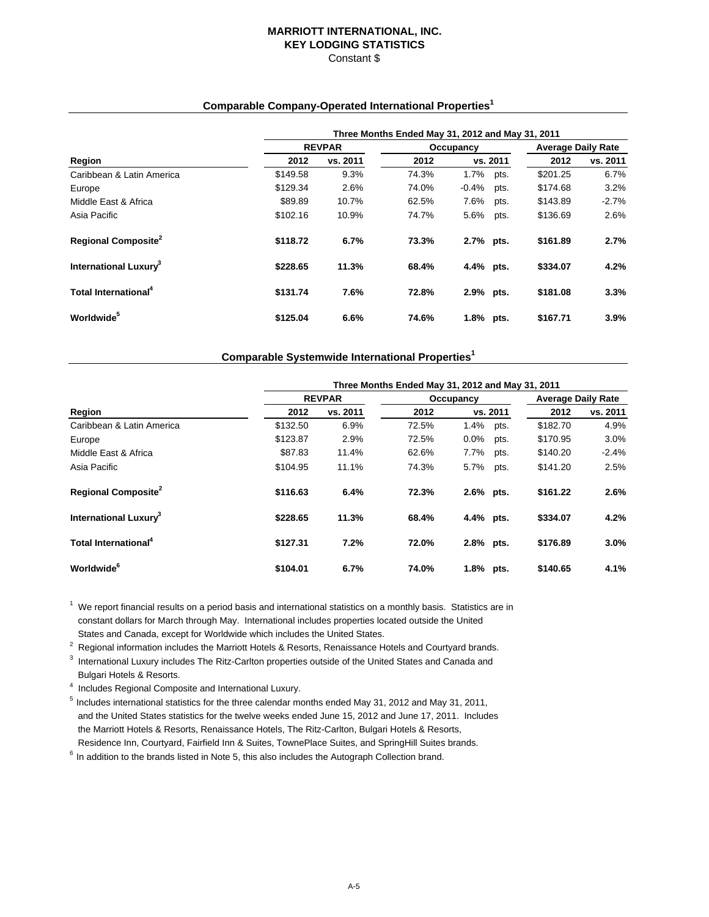## **MARRIOTT INTERNATIONAL, INC. KEY LODGING STATISTICS** Constant \$

## **Comparable Company-Operated International Properties1**

|                                        | Three Months Ended May 31, 2012 and May 31, 2011 |               |       |           |          |                           |          |  |  |  |
|----------------------------------------|--------------------------------------------------|---------------|-------|-----------|----------|---------------------------|----------|--|--|--|
|                                        |                                                  | <b>REVPAR</b> |       | Occupancy |          | <b>Average Daily Rate</b> |          |  |  |  |
| Region                                 | 2012                                             | vs. 2011      | 2012  |           | vs. 2011 | 2012                      | vs. 2011 |  |  |  |
| Caribbean & Latin America              | \$149.58                                         | 9.3%          | 74.3% | 1.7%      | pts.     | \$201.25                  | 6.7%     |  |  |  |
| Europe                                 | \$129.34                                         | 2.6%          | 74.0% | $-0.4%$   | pts.     | \$174.68                  | 3.2%     |  |  |  |
| Middle East & Africa                   | \$89.89                                          | 10.7%         | 62.5% | 7.6%      | pts.     | \$143.89                  | $-2.7%$  |  |  |  |
| Asia Pacific                           | \$102.16                                         | 10.9%         | 74.7% | 5.6%      | pts.     | \$136.69                  | 2.6%     |  |  |  |
| <b>Regional Composite</b> <sup>2</sup> | \$118.72                                         | 6.7%          | 73.3% | 2.7% pts. |          | \$161.89                  | 2.7%     |  |  |  |
| International Luxury <sup>3</sup>      | \$228.65                                         | 11.3%         | 68.4% | 4.4% pts. |          | \$334.07                  | 4.2%     |  |  |  |
| Total International <sup>4</sup>       | \$131.74                                         | 7.6%          | 72.8% | 2.9% pts. |          | \$181.08                  | 3.3%     |  |  |  |
| Worldwide <sup>5</sup>                 | \$125.04                                         | 6.6%          | 74.6% | $1.8\%$   | pts.     | \$167.71                  | 3.9%     |  |  |  |

## **Comparable Systemwide International Properties1**

|                                        | Three Months Ended May 31, 2012 and May 31, 2011 |               |       |           |          |                           |          |  |  |  |
|----------------------------------------|--------------------------------------------------|---------------|-------|-----------|----------|---------------------------|----------|--|--|--|
|                                        |                                                  | <b>REVPAR</b> |       | Occupancy |          | <b>Average Daily Rate</b> |          |  |  |  |
| Region                                 | 2012                                             | vs. 2011      | 2012  |           | vs. 2011 | 2012                      | vs. 2011 |  |  |  |
| Caribbean & Latin America              | \$132.50                                         | 6.9%          | 72.5% | $1.4\%$   | pts.     | \$182.70                  | 4.9%     |  |  |  |
| Europe                                 | \$123.87                                         | 2.9%          | 72.5% | $0.0\%$   | pts.     | \$170.95                  | 3.0%     |  |  |  |
| Middle East & Africa                   | \$87.83                                          | 11.4%         | 62.6% | 7.7%      | pts.     | \$140.20                  | $-2.4%$  |  |  |  |
| Asia Pacific                           | \$104.95                                         | 11.1%         | 74.3% | 5.7%      | pts.     | \$141.20                  | 2.5%     |  |  |  |
| <b>Regional Composite</b> <sup>2</sup> | \$116.63                                         | 6.4%          | 72.3% | 2.6% pts. |          | \$161.22                  | 2.6%     |  |  |  |
| International Luxury <sup>3</sup>      | \$228.65                                         | 11.3%         | 68.4% | 4.4% pts. |          | \$334.07                  | 4.2%     |  |  |  |
| Total International <sup>4</sup>       | \$127.31                                         | 7.2%          | 72.0% | 2.8% pts. |          | \$176.89                  | 3.0%     |  |  |  |
| Worldwide <sup>6</sup>                 | \$104.01                                         | 6.7%          | 74.0% | 1.8% pts. |          | \$140.65                  | 4.1%     |  |  |  |

 $1$  We report financial results on a period basis and international statistics on a monthly basis. Statistics are in constant dollars for March through May. International includes properties located outside the United States and Canada, except for Worldwide which includes the United States.

<sup>2</sup> Regional information includes the Marriott Hotels & Resorts, Renaissance Hotels and Courtyard brands.<br><sup>3</sup> International Luxury includes The Ritz Certae preparties outside of the United States and Conade and

<sup>3</sup> International Luxury includes The Ritz-Carlton properties outside of the United States and Canada and

Bulgari Hotels & Resorts.

<sup>4</sup> Includes Regional Composite and International Luxury.

5 Includes international statistics for the three calendar months ended May 31, 2012 and May 31, 2011, and the United States statistics for the twelve weeks ended June 15, 2012 and June 17, 2011. Includes the Marriott Hotels & Resorts, Renaissance Hotels, The Ritz-Carlton, Bulgari Hotels & Resorts, Residence Inn, Courtyard, Fairfield Inn & Suites, TownePlace Suites, and SpringHill Suites brands.

 $6$  In addition to the brands listed in Note 5, this also includes the Autograph Collection brand.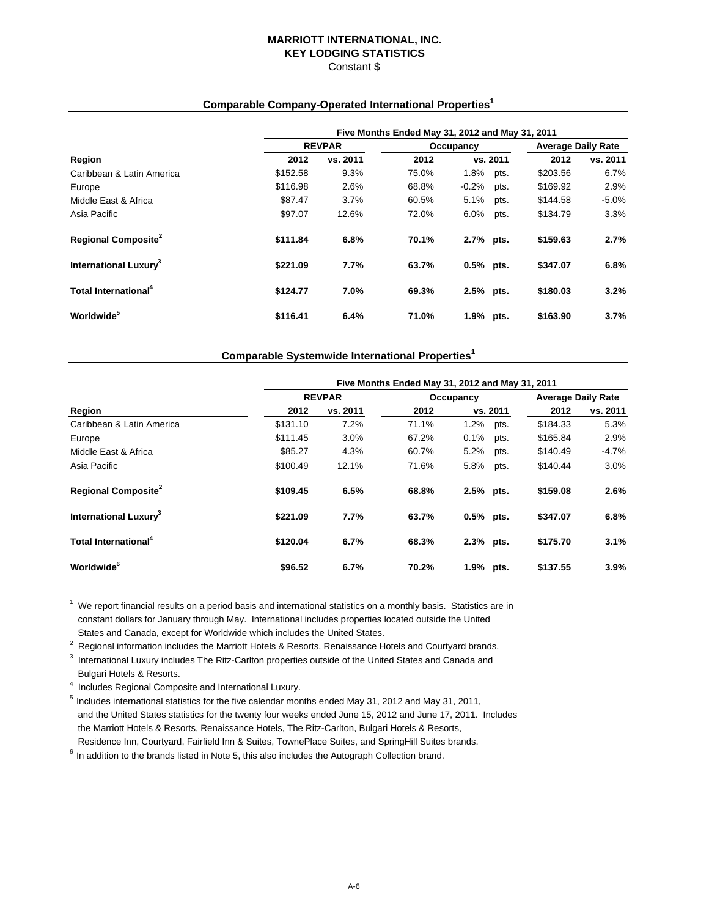## **MARRIOTT INTERNATIONAL, INC. KEY LODGING STATISTICS** Constant \$

## **Comparable Company-Operated International Properties1**

|                                        | Five Months Ended May 31, 2012 and May 31, 2011 |               |       |           |          |                           |          |  |  |  |
|----------------------------------------|-------------------------------------------------|---------------|-------|-----------|----------|---------------------------|----------|--|--|--|
|                                        |                                                 | <b>REVPAR</b> |       | Occupancy |          | <b>Average Daily Rate</b> |          |  |  |  |
| Region                                 | 2012                                            | vs. 2011      | 2012  |           | vs. 2011 | 2012                      | vs. 2011 |  |  |  |
| Caribbean & Latin America              | \$152.58                                        | 9.3%          | 75.0% | 1.8%      | pts.     | \$203.56                  | 6.7%     |  |  |  |
| Europe                                 | \$116.98                                        | 2.6%          | 68.8% | $-0.2%$   | pts.     | \$169.92                  | 2.9%     |  |  |  |
| Middle East & Africa                   | \$87.47                                         | 3.7%          | 60.5% | 5.1%      | pts.     | \$144.58                  | $-5.0%$  |  |  |  |
| Asia Pacific                           | \$97.07                                         | 12.6%         | 72.0% | 6.0%      | pts.     | \$134.79                  | 3.3%     |  |  |  |
| <b>Regional Composite</b> <sup>2</sup> | \$111.84                                        | 6.8%          | 70.1% | 2.7% pts. |          | \$159.63                  | 2.7%     |  |  |  |
| International Luxury <sup>3</sup>      | \$221.09                                        | 7.7%          | 63.7% | 0.5% pts. |          | \$347.07                  | 6.8%     |  |  |  |
| Total International <sup>4</sup>       | \$124.77                                        | 7.0%          | 69.3% | 2.5% pts. |          | \$180.03                  | 3.2%     |  |  |  |
| Worldwide <sup>5</sup>                 | \$116.41                                        | 6.4%          | 71.0% | 1.9%      | pts.     | \$163.90                  | 3.7%     |  |  |  |

## **Comparable Systemwide International Properties1**

|                                        |          | Five Months Ended May 31, 2012 and May 31, 2011 |           |             |          |                           |          |  |  |  |  |
|----------------------------------------|----------|-------------------------------------------------|-----------|-------------|----------|---------------------------|----------|--|--|--|--|
|                                        |          | <b>REVPAR</b>                                   | Occupancy |             |          | <b>Average Daily Rate</b> |          |  |  |  |  |
| Region                                 | 2012     | vs. 2011                                        | 2012      |             | vs. 2011 | 2012                      | vs. 2011 |  |  |  |  |
| Caribbean & Latin America              | \$131.10 | 7.2%                                            | 71.1%     | 1.2%        | pts.     | \$184.33                  | 5.3%     |  |  |  |  |
| Europe                                 | \$111.45 | 3.0%                                            | 67.2%     | 0.1%        | pts.     | \$165.84                  | 2.9%     |  |  |  |  |
| Middle East & Africa                   | \$85.27  | 4.3%                                            | 60.7%     | 5.2%        | pts.     | \$140.49                  | -4.7%    |  |  |  |  |
| Asia Pacific                           | \$100.49 | 12.1%                                           | 71.6%     | 5.8%        | pts.     | \$140.44                  | 3.0%     |  |  |  |  |
| <b>Regional Composite</b> <sup>2</sup> | \$109.45 | 6.5%                                            | 68.8%     | 2.5% pts.   |          | \$159.08                  | 2.6%     |  |  |  |  |
| International Luxury <sup>3</sup>      | \$221.09 | 7.7%                                            | 63.7%     | $0.5%$ pts. |          | \$347.07                  | 6.8%     |  |  |  |  |
| Total International <sup>4</sup>       | \$120.04 | 6.7%                                            | 68.3%     | 2.3% pts.   |          | \$175.70                  | 3.1%     |  |  |  |  |
| <b>Worldwide</b> <sup>6</sup>          | \$96.52  | 6.7%                                            | 70.2%     | 1.9% pts.   |          | \$137.55                  | 3.9%     |  |  |  |  |

 $1$  We report financial results on a period basis and international statistics on a monthly basis. Statistics are in constant dollars for January through May. International includes properties located outside the United States and Canada, except for Worldwide which includes the United States.

- <sup>2</sup> Regional information includes the Marriott Hotels & Resorts, Renaissance Hotels and Courtyard brands.<br><sup>3</sup> International Luxury includes The Bitz Certter preparties outpide of the United States and Canada and
- $3$  International Luxury includes The Ritz-Carlton properties outside of the United States and Canada and Bulgari Hotels & Resorts.
- <sup>4</sup> Includes Regional Composite and International Luxury.
- 5 Includes international statistics for the five calendar months ended May 31, 2012 and May 31, 2011, and the United States statistics for the twenty four weeks ended June 15, 2012 and June 17, 2011. Includes the Marriott Hotels & Resorts, Renaissance Hotels, The Ritz-Carlton, Bulgari Hotels & Resorts, Residence Inn, Courtyard, Fairfield Inn & Suites, TownePlace Suites, and SpringHill Suites brands.
- $6$  In addition to the brands listed in Note 5, this also includes the Autograph Collection brand.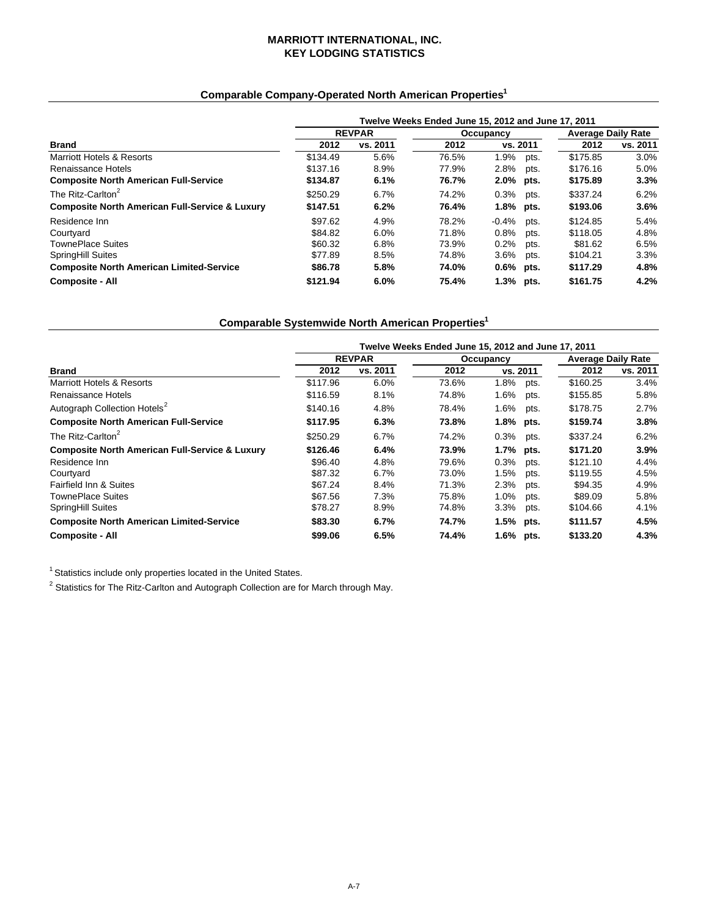## **MARRIOTT INTERNATIONAL, INC. KEY LODGING STATISTICS**

# **Comparable Company-Operated North American Properties1**

|                                                           | Twelve Weeks Ended June 15, 2012 and June 17, 2011 |               |       |                 |          |                           |  |  |  |
|-----------------------------------------------------------|----------------------------------------------------|---------------|-------|-----------------|----------|---------------------------|--|--|--|
|                                                           |                                                    | <b>REVPAR</b> |       | Occupancy       |          | <b>Average Daily Rate</b> |  |  |  |
| Brand                                                     | 2012                                               | vs. 2011      | 2012  | vs. 2011        | 2012     | vs. 2011                  |  |  |  |
| Marriott Hotels & Resorts                                 | \$134.49                                           | 5.6%          | 76.5% | 1.9%<br>pts.    | \$175.85 | 3.0%                      |  |  |  |
| Renaissance Hotels                                        | \$137.16                                           | 8.9%          | 77.9% | 2.8%<br>pts.    | \$176.16 | 5.0%                      |  |  |  |
| <b>Composite North American Full-Service</b>              | \$134.87                                           | 6.1%          | 76.7% | 2.0% pts.       | \$175.89 | 3.3%                      |  |  |  |
| The Ritz-Carlton <sup>2</sup>                             | \$250.29                                           | 6.7%          | 74.2% | 0.3%<br>pts.    | \$337.24 | 6.2%                      |  |  |  |
| <b>Composite North American Full-Service &amp; Luxury</b> | \$147.51                                           | 6.2%          | 76.4% | 1.8%<br>pts.    | \$193.06 | $3.6\%$                   |  |  |  |
| Residence Inn                                             | \$97.62                                            | 4.9%          | 78.2% | $-0.4%$<br>pts. | \$124.85 | 5.4%                      |  |  |  |
| Courtyard                                                 | \$84.82                                            | 6.0%          | 71.8% | 0.8%<br>pts.    | \$118.05 | 4.8%                      |  |  |  |
| <b>TownePlace Suites</b>                                  | \$60.32                                            | 6.8%          | 73.9% | 0.2%<br>pts.    | \$81.62  | 6.5%                      |  |  |  |
| SpringHill Suites                                         | \$77.89                                            | 8.5%          | 74.8% | $3.6\%$<br>pts. | \$104.21 | 3.3%                      |  |  |  |
| <b>Composite North American Limited-Service</b>           | \$86.78                                            | 5.8%          | 74.0% | $0.6\%$<br>pts. | \$117.29 | 4.8%                      |  |  |  |
| <b>Composite - All</b>                                    | \$121.94                                           | 6.0%          | 75.4% | 1.3% pts.       | \$161.75 | 4.2%                      |  |  |  |

# **Comparable Systemwide North American Properties1**

|                                                           | Twelve Weeks Ended June 15, 2012 and June 17, 2011 |               |           |           |      |                           |          |  |  |
|-----------------------------------------------------------|----------------------------------------------------|---------------|-----------|-----------|------|---------------------------|----------|--|--|
|                                                           |                                                    | <b>REVPAR</b> | Occupancy |           |      | <b>Average Daily Rate</b> |          |  |  |
| <b>Brand</b>                                              | 2012                                               | vs. 2011      | 2012      | vs. 2011  |      | 2012                      | vs. 2011 |  |  |
| <b>Marriott Hotels &amp; Resorts</b>                      | \$117.96                                           | 6.0%          | 73.6%     | 1.8%      | pts. | \$160.25                  | 3.4%     |  |  |
| Renaissance Hotels                                        | \$116.59                                           | 8.1%          | 74.8%     | 1.6%      | pts. | \$155.85                  | 5.8%     |  |  |
| Autograph Collection Hotels <sup>2</sup>                  | \$140.16                                           | 4.8%          | 78.4%     | 1.6%      | pts. | \$178.75                  | 2.7%     |  |  |
| <b>Composite North American Full-Service</b>              | \$117.95                                           | 6.3%          | 73.8%     | 1.8% pts. |      | \$159.74                  | 3.8%     |  |  |
| The Ritz-Carlton <sup>2</sup>                             | \$250.29                                           | 6.7%          | 74.2%     | 0.3%      | pts. | \$337.24                  | 6.2%     |  |  |
| <b>Composite North American Full-Service &amp; Luxury</b> | \$126.46                                           | 6.4%          | 73.9%     | 1.7% pts. |      | \$171.20                  | 3.9%     |  |  |
| Residence Inn                                             | \$96.40                                            | 4.8%          | 79.6%     | 0.3%      | pts. | \$121.10                  | 4.4%     |  |  |
| Courtyard                                                 | \$87.32                                            | 6.7%          | 73.0%     | 1.5%      | pts. | \$119.55                  | 4.5%     |  |  |
| Fairfield Inn & Suites                                    | \$67.24                                            | 8.4%          | 71.3%     | 2.3%      | pts. | \$94.35                   | 4.9%     |  |  |
| TownePlace Suites                                         | \$67.56                                            | 7.3%          | 75.8%     | 1.0%      | pts. | \$89.09                   | 5.8%     |  |  |
| SpringHill Suites                                         | \$78.27                                            | 8.9%          | 74.8%     | 3.3%      | pts. | \$104.66                  | 4.1%     |  |  |
| <b>Composite North American Limited-Service</b>           | \$83.30                                            | 6.7%          | 74.7%     | 1.5% pts. |      | \$111.57                  | 4.5%     |  |  |
| <b>Composite - All</b>                                    | \$99.06                                            | 6.5%          | 74.4%     | 1.6% pts. |      | \$133.20                  | 4.3%     |  |  |

 $1$  Statistics include only properties located in the United States.

 $^2$  Statistics for The Ritz-Carlton and Autograph Collection are for March through May.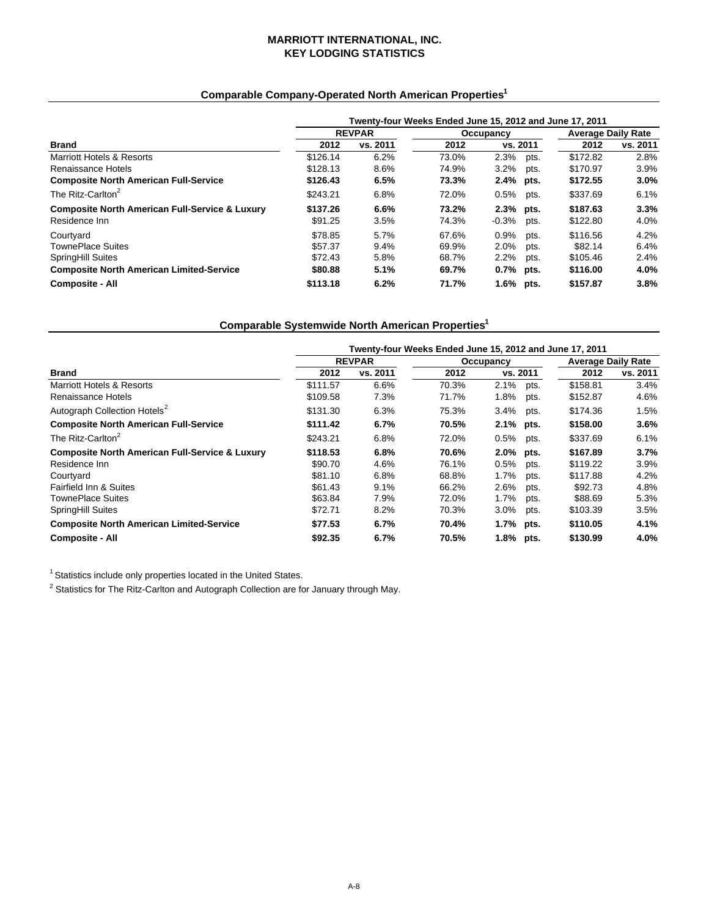## **MARRIOTT INTERNATIONAL, INC. KEY LODGING STATISTICS**

# **Comparable Company-Operated North American Properties1**

|                                                           | Twenty-four Weeks Ended June 15, 2012 and June 17, 2011 |               |           |             |      |                           |          |  |
|-----------------------------------------------------------|---------------------------------------------------------|---------------|-----------|-------------|------|---------------------------|----------|--|
|                                                           |                                                         | <b>REVPAR</b> | Occupancy |             |      | <b>Average Daily Rate</b> |          |  |
| <b>Brand</b>                                              | 2012                                                    | vs. 2011      | 2012      | vs. 2011    |      | 2012                      | vs. 2011 |  |
| <b>Marriott Hotels &amp; Resorts</b>                      | \$126.14                                                | 6.2%          | 73.0%     | 2.3%        | pts. | \$172.82                  | 2.8%     |  |
| Renaissance Hotels                                        | \$128.13                                                | 8.6%          | 74.9%     | 3.2%        | pts. | \$170.97                  | 3.9%     |  |
| <b>Composite North American Full-Service</b>              | \$126.43                                                | 6.5%          | 73.3%     | 2.4% pts.   |      | \$172.55                  | $3.0\%$  |  |
| The Ritz-Carlton <sup>2</sup>                             | \$243.21                                                | 6.8%          | 72.0%     | 0.5%        | pts. | \$337.69                  | 6.1%     |  |
| <b>Composite North American Full-Service &amp; Luxury</b> | \$137.26                                                | 6.6%          | 73.2%     | 2.3% pts.   |      | \$187.63                  | 3.3%     |  |
| Residence Inn                                             | \$91.25                                                 | 3.5%          | 74.3%     | -0.3%       | pts. | \$122.80                  | 4.0%     |  |
| Courtyard                                                 | \$78.85                                                 | 5.7%          | 67.6%     | $0.9\%$     | pts. | \$116.56                  | 4.2%     |  |
| <b>TownePlace Suites</b>                                  | \$57.37                                                 | 9.4%          | 69.9%     | 2.0%        | pts. | \$82.14                   | 6.4%     |  |
| <b>SpringHill Suites</b>                                  | \$72.43                                                 | 5.8%          | 68.7%     | $2.2\%$     | pts. | \$105.46                  | 2.4%     |  |
| <b>Composite North American Limited-Service</b>           | \$80.88                                                 | 5.1%          | 69.7%     | $0.7%$ pts. |      | \$116.00                  | 4.0%     |  |
| <b>Composite - All</b>                                    | \$113.18                                                | 6.2%          | 71.7%     | 1.6% pts.   |      | \$157.87                  | 3.8%     |  |

## **Comparable Systemwide North American Properties1**

|                                                           | Twenty-four Weeks Ended June 15, 2012 and June 17, 2011 |               |       |           |      |                           |          |  |  |
|-----------------------------------------------------------|---------------------------------------------------------|---------------|-------|-----------|------|---------------------------|----------|--|--|
|                                                           |                                                         | <b>REVPAR</b> |       | Occupancy |      | <b>Average Daily Rate</b> |          |  |  |
| <b>Brand</b>                                              | 2012                                                    | vs. 2011      | 2012  | vs. 2011  |      | 2012                      | vs. 2011 |  |  |
| Marriott Hotels & Resorts                                 | \$111.57                                                | 6.6%          | 70.3% | 2.1%      | pts. | \$158.81                  | 3.4%     |  |  |
| Renaissance Hotels                                        | \$109.58                                                | 7.3%          | 71.7% | 1.8%      | pts. | \$152.87                  | 4.6%     |  |  |
| Autograph Collection Hotels <sup>2</sup>                  | \$131.30                                                | 6.3%          | 75.3% | 3.4%      | pts. | \$174.36                  | 1.5%     |  |  |
| <b>Composite North American Full-Service</b>              | \$111.42                                                | 6.7%          | 70.5% | 2.1% pts. |      | \$158.00                  | 3.6%     |  |  |
| The Ritz-Carlton <sup>2</sup>                             | \$243.21                                                | 6.8%          | 72.0% | 0.5%      | pts. | \$337.69                  | 6.1%     |  |  |
| <b>Composite North American Full-Service &amp; Luxury</b> | \$118.53                                                | 6.8%          | 70.6% | 2.0% pts. |      | \$167.89                  | 3.7%     |  |  |
| Residence Inn                                             | \$90.70                                                 | 4.6%          | 76.1% | 0.5%      | pts. | \$119.22                  | 3.9%     |  |  |
| Courtyard                                                 | \$81.10                                                 | 6.8%          | 68.8% | 1.7%      | pts. | \$117.88                  | 4.2%     |  |  |
| Fairfield Inn & Suites                                    | \$61.43                                                 | 9.1%          | 66.2% | 2.6%      | pts. | \$92.73                   | 4.8%     |  |  |
| TownePlace Suites                                         | \$63.84                                                 | 7.9%          | 72.0% | 1.7%      | pts. | \$88.69                   | 5.3%     |  |  |
| <b>SpringHill Suites</b>                                  | \$72.71                                                 | 8.2%          | 70.3% | $3.0\%$   | pts. | \$103.39                  | 3.5%     |  |  |
| <b>Composite North American Limited-Service</b>           | \$77.53                                                 | 6.7%          | 70.4% | 1.7% pts. |      | \$110.05                  | 4.1%     |  |  |
| <b>Composite - All</b>                                    | \$92.35                                                 | 6.7%          | 70.5% | 1.8% pts. |      | \$130.99                  | 4.0%     |  |  |

 $^1$  Statistics include only properties located in the United States.

 $2$  Statistics for The Ritz-Carlton and Autograph Collection are for January through May.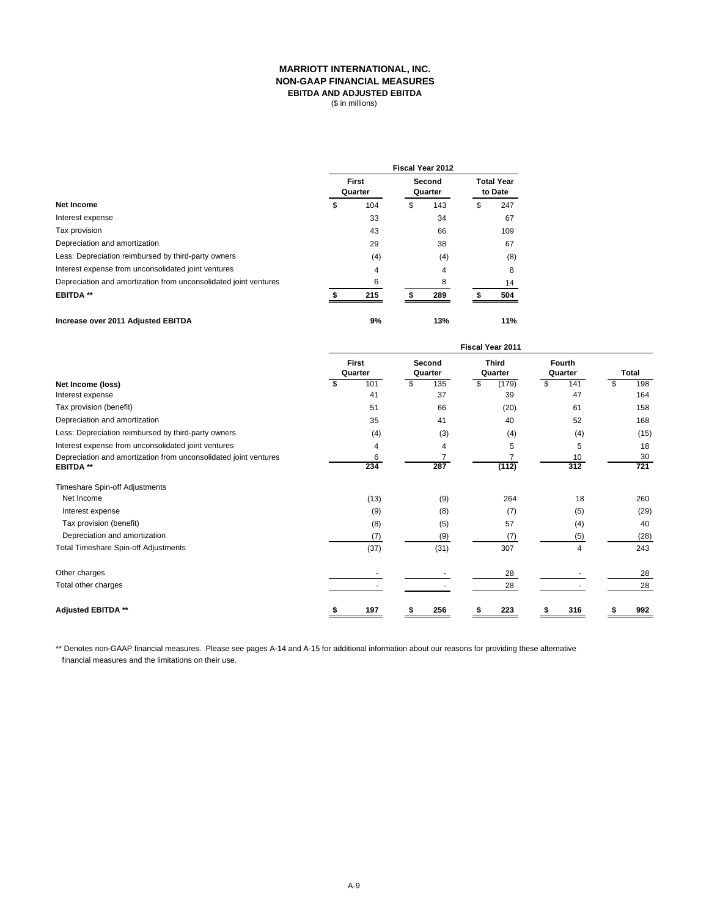## **MARRIOTT INTERNATIONAL, INC. NON-GAAP FINANCIAL MEASURES EBITDA AND ADJUSTED EBITDA**

(\$ in millions)

|                                                                  | Fiscal Year 2012 |                  |   |                   |                              |     |  |  |  |  |
|------------------------------------------------------------------|------------------|------------------|---|-------------------|------------------------------|-----|--|--|--|--|
| Net Income                                                       |                  | First<br>Quarter |   | Second<br>Quarter | <b>Total Year</b><br>to Date |     |  |  |  |  |
|                                                                  | \$               | 104              | S | 143               | \$                           | 247 |  |  |  |  |
| Interest expense                                                 |                  | 33               |   | 34                |                              | 67  |  |  |  |  |
| Tax provision                                                    |                  | 43               |   | 66                |                              | 109 |  |  |  |  |
| Depreciation and amortization                                    |                  | 29               |   | 38                |                              | 67  |  |  |  |  |
| Less: Depreciation reimbursed by third-party owners              |                  | (4)              |   | (4)               |                              | (8) |  |  |  |  |
| Interest expense from unconsolidated joint ventures              |                  | 4                |   | 4                 |                              | 8   |  |  |  |  |
| Depreciation and amortization from unconsolidated joint ventures |                  | 6                |   | 8                 |                              | 14  |  |  |  |  |
| <b>EBITDA**</b>                                                  |                  | 215              |   | 289               |                              | 504 |  |  |  |  |
| Increase over 2011 Adjusted EBITDA                               |                  | 9%               |   | 13%               |                              | 11% |  |  |  |  |

|                                                                                      | Fiscal Year 2011        |          |                   |                       |                         |       |                   |           |    |           |
|--------------------------------------------------------------------------------------|-------------------------|----------|-------------------|-----------------------|-------------------------|-------|-------------------|-----------|----|-----------|
|                                                                                      | <b>First</b><br>Quarter |          | Second<br>Quarter |                       | <b>Third</b><br>Quarter |       | Fourth<br>Quarter |           |    | Total     |
| Net Income (loss)                                                                    |                         | 101      | S                 | 135                   | \$                      | (179) | \$                | 141       | \$ | 198       |
| Interest expense                                                                     |                         | 41       |                   | 37                    |                         | 39    |                   | 47        |    | 164       |
| Tax provision (benefit)                                                              |                         | 51       |                   | 66                    |                         | (20)  |                   | 61        |    | 158       |
| Depreciation and amortization                                                        |                         | 35       |                   | 41                    |                         | 40    |                   | 52        |    | 168       |
| Less: Depreciation reimbursed by third-party owners                                  |                         | (4)      |                   | (3)                   |                         | (4)   |                   | (4)       |    | (15)      |
| Interest expense from unconsolidated joint ventures                                  |                         | 4        |                   | 4                     |                         | 5     |                   | 5         |    | 18        |
| Depreciation and amortization from unconsolidated joint ventures<br><b>EBITDA **</b> |                         | 6<br>234 |                   | $\overline{7}$<br>287 |                         | (112) |                   | 10<br>312 |    | 30<br>721 |
| Timeshare Spin-off Adjustments                                                       |                         |          |                   |                       |                         |       |                   |           |    |           |
| Net Income                                                                           |                         | (13)     |                   | (9)                   |                         | 264   |                   | 18        |    | 260       |
| Interest expense                                                                     |                         | (9)      |                   | (8)                   |                         | (7)   |                   | (5)       |    | (29)      |
| Tax provision (benefit)                                                              |                         | (8)      |                   | (5)                   |                         | 57    |                   | (4)       |    | 40        |
| Depreciation and amortization                                                        |                         | (7)      |                   | (9)                   |                         | (7)   |                   | (5)       |    | (28)      |
| <b>Total Timeshare Spin-off Adjustments</b>                                          |                         | (37)     |                   | (31)                  |                         | 307   |                   | 4         |    | 243       |
| Other charges                                                                        |                         |          |                   |                       |                         | 28    |                   |           |    | 28        |
| Total other charges                                                                  |                         |          |                   |                       |                         | 28    |                   |           |    | 28        |
| Adjusted EBITDA **                                                                   |                         | 197      |                   | 256                   |                         | 223   |                   | 316       |    | 992       |

\*\* Denotes non-GAAP financial measures. Please see pages A-14 and A-15 for additional information about our reasons for providing these alternative financial measures and the limitations on their use.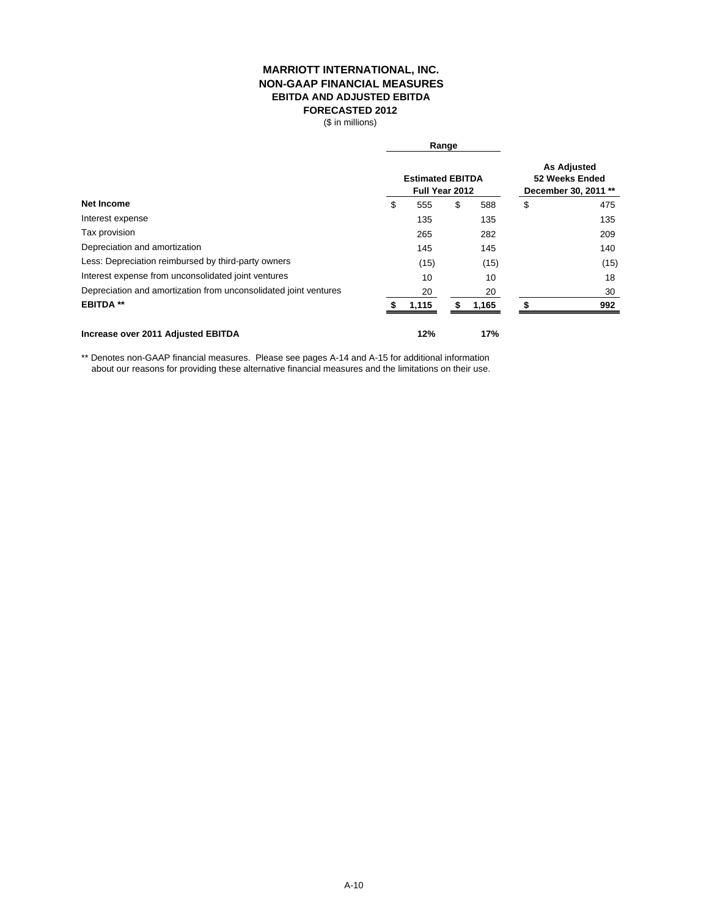## **MARRIOTT INTERNATIONAL, INC. NON-GAAP FINANCIAL MEASURES EBITDA AND ADJUSTED EBITDA FORECASTED 2012**

(\$ in millions)

|                                                                  |                                           | Range |                                                              |    |      |
|------------------------------------------------------------------|-------------------------------------------|-------|--------------------------------------------------------------|----|------|
|                                                                  | <b>Estimated EBITDA</b><br>Full Year 2012 |       | <b>As Adjusted</b><br>52 Weeks Ended<br>December 30, 2011 ** |    |      |
| Net Income                                                       | \$<br>555                                 | \$    | 588                                                          | \$ | 475  |
| Interest expense                                                 | 135                                       |       | 135                                                          |    | 135  |
| Tax provision                                                    | 265                                       |       | 282                                                          |    | 209  |
| Depreciation and amortization                                    | 145                                       |       | 145                                                          |    | 140  |
| Less: Depreciation reimbursed by third-party owners              | (15)                                      |       | (15)                                                         |    | (15) |
| Interest expense from unconsolidated joint ventures              | 10                                        |       | 10                                                           |    | 18   |
| Depreciation and amortization from unconsolidated joint ventures | 20                                        |       | 20                                                           |    | 30   |
| <b>EBITDA **</b>                                                 | 1,115                                     |       | 1,165                                                        |    | 992  |
| Increase over 2011 Adjusted EBITDA                               | 12%                                       |       | 17%                                                          |    |      |

\*\* Denotes non-GAAP financial measures. Please see pages A-14 and A-15 for additional information about our reasons for providing these alternative financial measures and the limitations on their use.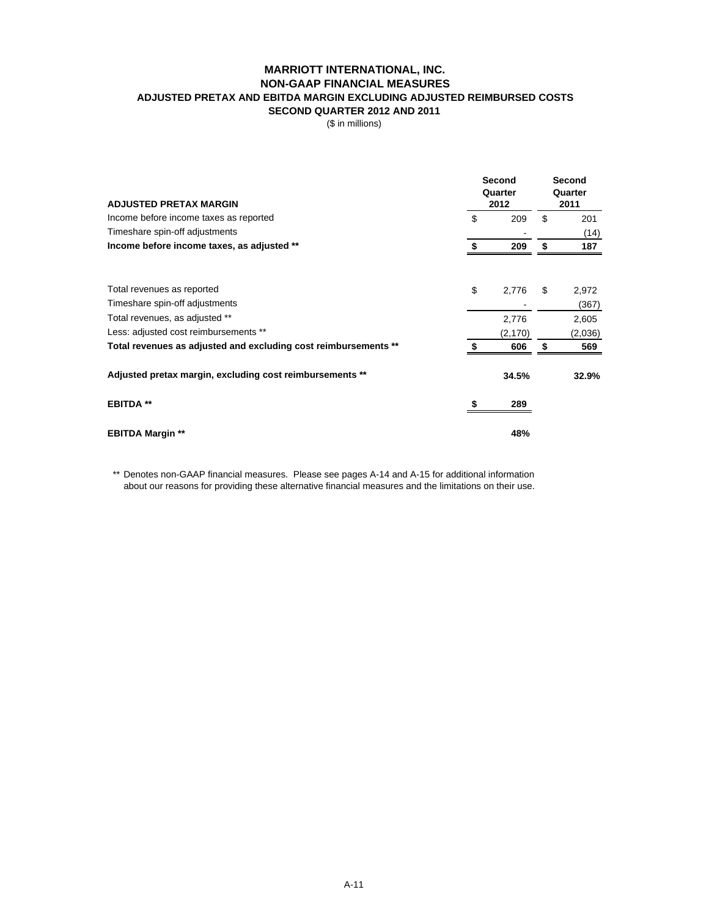## **MARRIOTT INTERNATIONAL, INC. NON-GAAP FINANCIAL MEASURES ADJUSTED PRETAX AND EBITDA MARGIN EXCLUDING ADJUSTED REIMBURSED COSTS SECOND QUARTER 2012 AND 2011**

(\$ in millions)

| <b>ADJUSTED PRETAX MARGIN</b>                                   | Second<br>Quarter<br>2012 | Second<br>Quarter<br>2011 |    |         |
|-----------------------------------------------------------------|---------------------------|---------------------------|----|---------|
| Income before income taxes as reported                          | \$                        | 209                       | \$ | 201     |
| Timeshare spin-off adjustments                                  |                           |                           |    | (14)    |
| Income before income taxes, as adjusted **                      |                           | 209                       | \$ | 187     |
| Total revenues as reported                                      | \$                        | 2,776                     | S  | 2,972   |
| Timeshare spin-off adjustments                                  |                           |                           |    | (367)   |
| Total revenues, as adjusted **                                  |                           | 2,776                     |    | 2,605   |
| Less: adjusted cost reimbursements **                           |                           | (2, 170)                  |    | (2,036) |
| Total revenues as adjusted and excluding cost reimbursements ** |                           | 606                       |    | 569     |
| Adjusted pretax margin, excluding cost reimbursements **        |                           | 34.5%                     |    | 32.9%   |
| <b>EBITDA **</b>                                                |                           | 289                       |    |         |
| <b>EBITDA Margin **</b>                                         |                           | 48%                       |    |         |

\*\* Denotes non-GAAP financial measures. Please see pages A-14 and A-15 for additional information about our reasons for providing these alternative financial measures and the limitations on their use.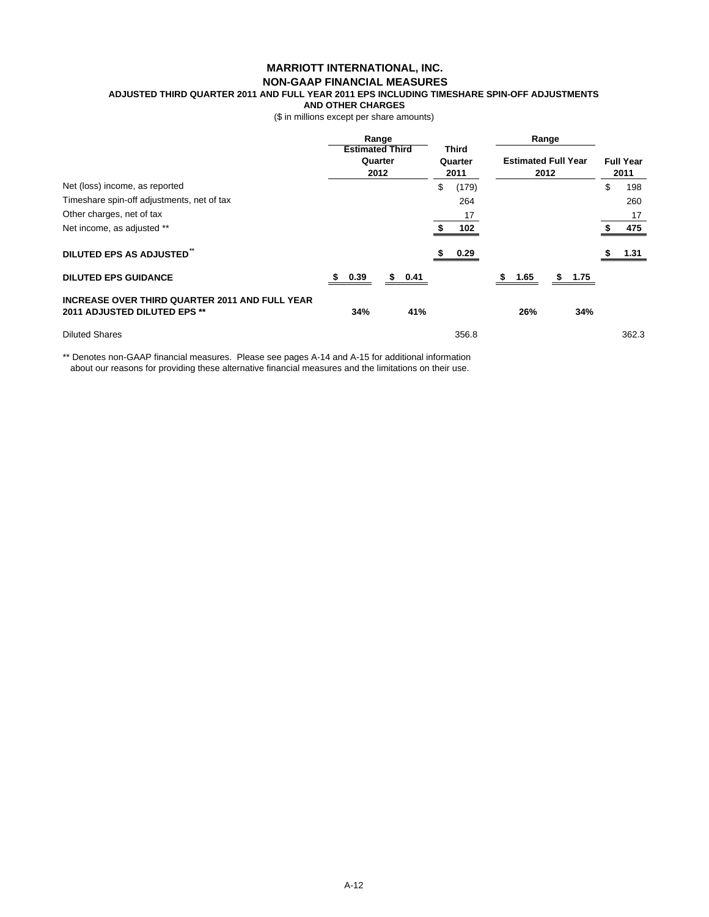## **MARRIOTT INTERNATIONAL, INC. NON-GAAP FINANCIAL MEASURES**

**ADJUSTED THIRD QUARTER 2011 AND FULL YEAR 2011 EPS INCLUDING TIMESHARE SPIN-OFF ADJUSTMENTS** 

**AND OTHER CHARGES**

(\$ in millions except per share amounts)

| Range                                                                                 |                                           |        |                          | Range |                                    |      |    |      |                          |       |
|---------------------------------------------------------------------------------------|-------------------------------------------|--------|--------------------------|-------|------------------------------------|------|----|------|--------------------------|-------|
|                                                                                       | <b>Estimated Third</b><br>Quarter<br>2012 |        | Third<br>Quarter<br>2011 |       | <b>Estimated Full Year</b><br>2012 |      |    |      | <b>Full Year</b><br>2011 |       |
| Net (loss) income, as reported                                                        |                                           |        | \$                       | (179) |                                    |      |    |      | \$                       | 198   |
| Timeshare spin-off adjustments, net of tax                                            |                                           |        |                          | 264   |                                    |      |    |      |                          | 260   |
| Other charges, net of tax                                                             |                                           |        |                          | 17    |                                    |      |    |      |                          | 17    |
| Net income, as adjusted **                                                            |                                           |        |                          | 102   |                                    |      |    |      |                          | 475   |
| DILUTED EPS AS ADJUSTED"                                                              |                                           |        |                          | 0.29  |                                    |      |    |      |                          | 1.31  |
| <b>DILUTED EPS GUIDANCE</b>                                                           | 0.39<br>S.                                | \$0.41 |                          |       | SS.                                | 1.65 | \$ | 1.75 |                          |       |
| <b>INCREASE OVER THIRD QUARTER 2011 AND FULL YEAR</b><br>2011 ADJUSTED DILUTED EPS ** | 34%                                       | 41%    |                          |       |                                    | 26%  |    | 34%  |                          |       |
| <b>Diluted Shares</b>                                                                 |                                           |        |                          | 356.8 |                                    |      |    |      |                          | 362.3 |

\*\* Denotes non-GAAP financial measures. Please see pages A-14 and A-15 for additional information about our reasons for providing these alternative financial measures and the limitations on their use.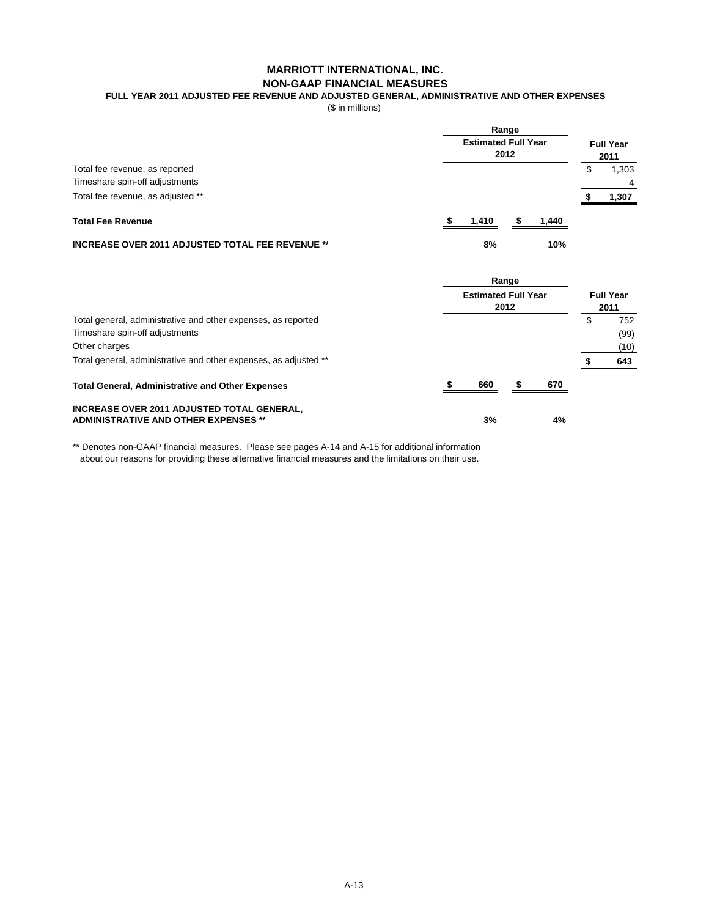## **MARRIOTT INTERNATIONAL, INC. NON-GAAP FINANCIAL MEASURES**

**FULL YEAR 2011 ADJUSTED FEE REVENUE AND ADJUSTED GENERAL, ADMINISTRATIVE AND OTHER EXPENSES**

(\$ in millions)

|                                                         | Range<br><b>Estimated Full Year</b><br>2012 | <b>Full Year</b><br>2011 |
|---------------------------------------------------------|---------------------------------------------|--------------------------|
| Total fee revenue, as reported                          |                                             | 1,303<br>\$              |
| Timeshare spin-off adjustments                          |                                             |                          |
| Total fee revenue, as adjusted **                       |                                             | 1,307                    |
| <b>Total Fee Revenue</b>                                | 1.410                                       | 1.440                    |
| <b>INCREASE OVER 2011 ADJUSTED TOTAL FEE REVENUE **</b> | 8%                                          | 10%                      |

|                                                                                                                                                                                      |  | Range<br><b>Estimated Full Year</b><br>2012 |  |     |    |                            |  |
|--------------------------------------------------------------------------------------------------------------------------------------------------------------------------------------|--|---------------------------------------------|--|-----|----|----------------------------|--|
| Total general, administrative and other expenses, as reported<br>Timeshare spin-off adjustments<br>Other charges<br>Total general, administrative and other expenses, as adjusted ** |  |                                             |  |     | \$ | 752<br>(99)<br>(10)<br>643 |  |
| <b>Total General, Administrative and Other Expenses</b>                                                                                                                              |  | 660                                         |  | 670 |    |                            |  |
| INCREASE OVER 2011 ADJUSTED TOTAL GENERAL,<br><b>ADMINISTRATIVE AND OTHER EXPENSES **</b>                                                                                            |  | 3%                                          |  | 4%  |    |                            |  |

\*\* Denotes non-GAAP financial measures. Please see pages A-14 and A-15 for additional information about our reasons for providing these alternative financial measures and the limitations on their use.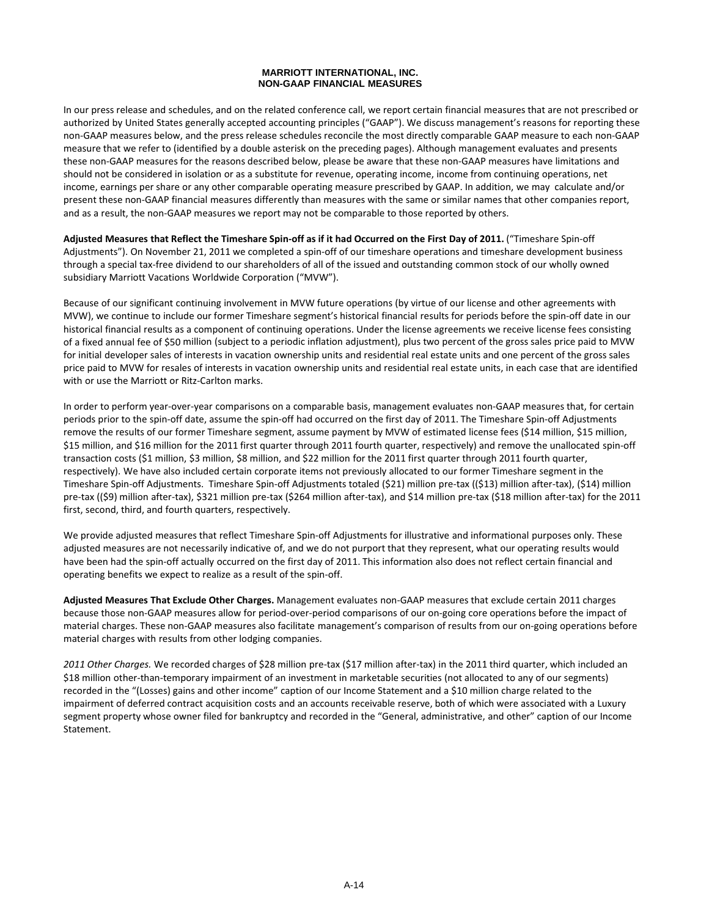#### **MARRIOTT INTERNATIONAL, INC. NON-GAAP FINANCIAL MEASURES**

In our press release and schedules, and on the related conference call, we report certain financial measures that are not prescribed or authorized by United States generally accepted accounting principles ("GAAP"). We discuss management's reasons for reporting these non‐GAAP measures below, and the press release schedules reconcile the most directly comparable GAAP measure to each non‐GAAP measure that we refer to (identified by a double asterisk on the preceding pages). Although management evaluates and presents these non‐GAAP measures for the reasons described below, please be aware that these non‐GAAP measures have limitations and should not be considered in isolation or as a substitute for revenue, operating income, income from continuing operations, net income, earnings per share or any other comparable operating measure prescribed by GAAP. In addition, we may calculate and/or present these non‐GAAP financial measures differently than measures with the same or similar names that other companies report, and as a result, the non-GAAP measures we report may not be comparable to those reported by others.

Adjusted Measures that Reflect the Timeshare Spin-off as if it had Occurred on the First Day of 2011. ("Timeshare Spin-off Adjustments"). On November 21, 2011 we completed a spin‐off of our timeshare operations and timeshare development business through a special tax‐free dividend to our shareholders of all of the issued and outstanding common stock of our wholly owned subsidiary Marriott Vacations Worldwide Corporation ("MVW").

Because of our significant continuing involvement in MVW future operations (by virtue of our license and other agreements with MVW), we continue to include our former Timeshare segment's historical financial results for periods before the spin‐off date in our historical financial results as a component of continuing operations. Under the license agreements we receive license fees consisting of a fixed annual fee of \$50 million (subject to a periodic inflation adjustment), plus two percent of the gross sales price paid to MVW for initial developer sales of interests in vacation ownership units and residential real estate units and one percent of the gross sales price paid to MVW for resales of interests in vacation ownership units and residential real estate units, in each case that are identified with or use the Marriott or Ritz-Carlton marks.

In order to perform year‐over‐year comparisons on a comparable basis, management evaluates non‐GAAP measures that, for certain periods prior to the spin-off date, assume the spin-off had occurred on the first day of 2011. The Timeshare Spin-off Adjustments remove the results of our former Timeshare segment, assume payment by MVW of estimated license fees (\$14 million, \$15 million, \$15 million, and \$16 million for the 2011 first quarter through 2011 fourth quarter, respectively) and remove the unallocated spin‐off transaction costs (\$1 million, \$3 million, \$8 million, and \$22 million for the 2011 first quarter through 2011 fourth quarter, respectively). We have also included certain corporate items not previously allocated to our former Timeshare segment in the Timeshare Spin‐off Adjustments. Timeshare Spin‐off Adjustments totaled (\$21) million pre‐tax ((\$13) million after‐tax), (\$14) million pre-tax ((\$9) million after-tax), \$321 million pre-tax (\$264 million after-tax), and \$14 million pre-tax (\$18 million after-tax) for the 2011 first, second, third, and fourth quarters, respectively.

We provide adjusted measures that reflect Timeshare Spin‐off Adjustments for illustrative and informational purposes only. These adjusted measures are not necessarily indicative of, and we do not purport that they represent, what our operating results would have been had the spin‐off actually occurred on the first day of 2011. This information also does not reflect certain financial and operating benefits we expect to realize as a result of the spin‐off.

**Adjusted Measures That Exclude Other Charges.** Management evaluates non‐GAAP measures that exclude certain 2011 charges because those non‐GAAP measures allow for period‐over‐period comparisons of our on‐going core operations before the impact of material charges. These non‐GAAP measures also facilitate management's comparison of results from our on‐going operations before material charges with results from other lodging companies.

*2011 Other Charges.* We recorded charges of \$28 million pre‐tax (\$17 million after‐tax) in the 2011 third quarter, which included an \$18 million other-than-temporary impairment of an investment in marketable securities (not allocated to any of our segments) recorded in the "(Losses) gains and other income" caption of our Income Statement and a \$10 million charge related to the impairment of deferred contract acquisition costs and an accounts receivable reserve, both of which were associated with a Luxury segment property whose owner filed for bankruptcy and recorded in the "General, administrative, and other" caption of our Income Statement.